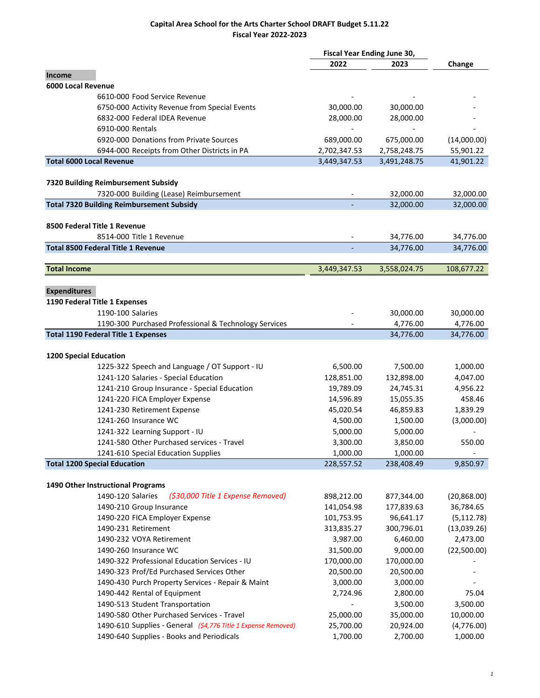|                                                               | Fiscal Year Ending June 30, |              |              |  |
|---------------------------------------------------------------|-----------------------------|--------------|--------------|--|
|                                                               | 2022                        | 2023         | Change       |  |
| Income                                                        |                             |              |              |  |
| 6000 Local Revenue                                            |                             |              |              |  |
| 6610-000 Food Service Revenue                                 |                             |              |              |  |
| 6750-000 Activity Revenue from Special Events                 | 30,000.00                   | 30,000.00    |              |  |
| 6832-000 Federal IDEA Revenue                                 | 28,000.00                   | 28,000.00    |              |  |
| 6910-000 Rentals                                              |                             |              |              |  |
| 6920-000 Donations from Private Sources                       | 689,000.00                  | 675,000.00   | (14,000.00)  |  |
| 6944-000 Receipts from Other Districts in PA                  | 2,702,347.53                | 2,758,248.75 | 55,901.22    |  |
| <b>Total 6000 Local Revenue</b>                               | 3,449,347.53                | 3,491,248.75 | 41,901.22    |  |
|                                                               |                             |              |              |  |
| 7320 Building Reimbursement Subsidy                           |                             |              |              |  |
| 7320-000 Building (Lease) Reimbursement                       |                             | 32,000.00    | 32,000.00    |  |
| <b>Total 7320 Building Reimbursement Subsidy</b>              |                             | 32,000.00    | 32,000.00    |  |
| 8500 Federal Title 1 Revenue                                  |                             |              |              |  |
| 8514-000 Title 1 Revenue                                      |                             | 34,776.00    | 34,776.00    |  |
| <b>Total 8500 Federal Title 1 Revenue</b>                     |                             | 34,776.00    | 34,776.00    |  |
|                                                               |                             |              |              |  |
| <b>Total Income</b>                                           | 3,449,347.53                | 3,558,024.75 | 108,677.22   |  |
| <b>Expenditures</b>                                           |                             |              |              |  |
| 1190 Federal Title 1 Expenses                                 |                             |              |              |  |
| 1190-100 Salaries                                             |                             | 30,000.00    | 30,000.00    |  |
| 1190-300 Purchased Professional & Technology Services         |                             | 4,776.00     | 4,776.00     |  |
| <b>Total 1190 Federal Title 1 Expenses</b>                    |                             | 34,776.00    | 34,776.00    |  |
|                                                               |                             |              |              |  |
| <b>1200 Special Education</b>                                 |                             |              |              |  |
| 1225-322 Speech and Language / OT Support - IU                | 6,500.00                    | 7,500.00     | 1,000.00     |  |
| 1241-120 Salaries - Special Education                         | 128,851.00                  | 132,898.00   | 4,047.00     |  |
| 1241-210 Group Insurance - Special Education                  | 19,789.09                   | 24,745.31    | 4,956.22     |  |
| 1241-220 FICA Employer Expense                                | 14,596.89                   | 15,055.35    | 458.46       |  |
| 1241-230 Retirement Expense                                   | 45,020.54                   | 46,859.83    | 1,839.29     |  |
| 1241-260 Insurance WC                                         | 4,500.00                    | 1,500.00     | (3,000.00)   |  |
| 1241-322 Learning Support - IU                                | 5,000.00                    | 5,000.00     |              |  |
| 1241-580 Other Purchased services - Travel                    | 3,300.00                    | 3,850.00     | 550.00       |  |
| 1241-610 Special Education Supplies                           | 1,000.00                    | 1,000.00     |              |  |
| <b>Total 1200 Special Education</b>                           | 228,557.52                  | 238,408.49   | 9,850.97     |  |
|                                                               |                             |              |              |  |
| 1490 Other Instructional Programs                             |                             |              |              |  |
| 1490-120 Salaries<br>(\$30,000 Title 1 Expense Removed)       | 898,212.00                  | 877,344.00   | (20, 868.00) |  |
| 1490-210 Group Insurance                                      | 141,054.98                  | 177,839.63   | 36,784.65    |  |
| 1490-220 FICA Employer Expense                                | 101,753.95                  | 96,641.17    | (5, 112.78)  |  |
| 1490-231 Retirement                                           | 313,835.27                  | 300,796.01   | (13,039.26)  |  |
| 1490-232 VOYA Retirement                                      | 3,987.00                    | 6,460.00     | 2,473.00     |  |
| 1490-260 Insurance WC                                         | 31,500.00                   | 9,000.00     | (22,500.00)  |  |
| 1490-322 Professional Education Services - IU                 | 170,000.00                  | 170,000.00   |              |  |
| 1490-323 Prof/Ed Purchased Services Other                     | 20,500.00                   | 20,500.00    |              |  |
| 1490-430 Purch Property Services - Repair & Maint             | 3,000.00                    | 3,000.00     |              |  |
| 1490-442 Rental of Equipment                                  | 2,724.96                    | 2,800.00     | 75.04        |  |
| 1490-513 Student Transportation                               |                             | 3,500.00     | 3,500.00     |  |
| 1490-580 Other Purchased Services - Travel                    | 25,000.00                   | 35,000.00    | 10,000.00    |  |
| 1490-610 Supplies - General (\$4,776 Title 1 Expense Removed) | 25,700.00                   | 20,924.00    | (4,776.00)   |  |
| 1490-640 Supplies - Books and Periodicals                     | 1,700.00                    | 2,700.00     | 1,000.00     |  |
|                                                               |                             |              |              |  |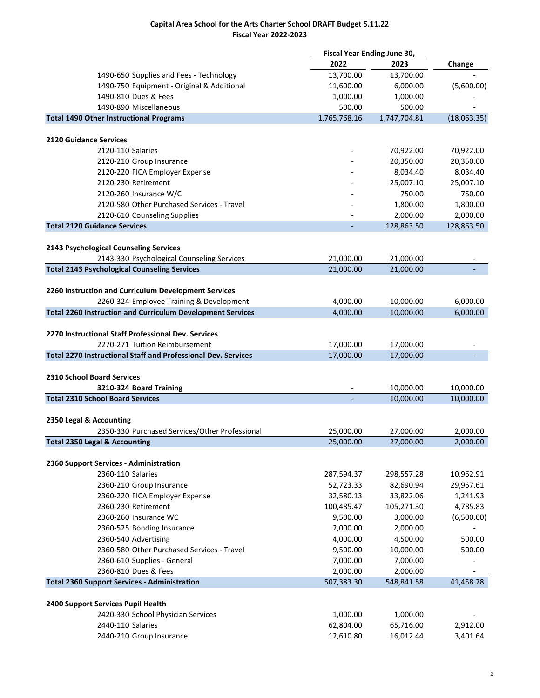|                                                                      | Fiscal Year Ending June 30, |              |                      |
|----------------------------------------------------------------------|-----------------------------|--------------|----------------------|
|                                                                      | 2022                        | 2023         | Change               |
| 1490-650 Supplies and Fees - Technology                              | 13,700.00                   | 13,700.00    |                      |
| 1490-750 Equipment - Original & Additional                           | 11,600.00                   | 6,000.00     | (5,600.00)           |
| 1490-810 Dues & Fees                                                 | 1,000.00                    | 1,000.00     |                      |
| 1490-890 Miscellaneous                                               | 500.00                      | 500.00       |                      |
| <b>Total 1490 Other Instructional Programs</b>                       | 1,765,768.16                | 1,747,704.81 | (18,063.35)          |
| <b>2120 Guidance Services</b>                                        |                             |              |                      |
| 2120-110 Salaries                                                    |                             | 70,922.00    | 70,922.00            |
| 2120-210 Group Insurance                                             |                             | 20,350.00    | 20,350.00            |
| 2120-220 FICA Employer Expense                                       |                             | 8,034.40     | 8,034.40             |
| 2120-230 Retirement                                                  |                             | 25,007.10    | 25,007.10            |
| 2120-260 Insurance W/C                                               |                             | 750.00       | 750.00               |
| 2120-580 Other Purchased Services - Travel                           |                             | 1,800.00     | 1,800.00             |
| 2120-610 Counseling Supplies                                         |                             | 2,000.00     | 2,000.00             |
| <b>Total 2120 Guidance Services</b>                                  |                             | 128,863.50   | 128,863.50           |
|                                                                      |                             |              |                      |
| 2143 Psychological Counseling Services                               |                             |              |                      |
| 2143-330 Psychological Counseling Services                           | 21,000.00                   | 21,000.00    |                      |
| <b>Total 2143 Psychological Counseling Services</b>                  | 21,000.00                   | 21,000.00    |                      |
| 2260 Instruction and Curriculum Development Services                 |                             |              |                      |
| 2260-324 Employee Training & Development                             | 4,000.00                    | 10,000.00    | 6,000.00             |
| <b>Total 2260 Instruction and Curriculum Development Services</b>    | 4,000.00                    | 10,000.00    | 6,000.00             |
| 2270 Instructional Staff Professional Dev. Services                  |                             |              |                      |
| 2270-271 Tuition Reimbursement                                       | 17,000.00                   | 17,000.00    |                      |
| <b>Total 2270 Instructional Staff and Professional Dev. Services</b> | 17,000.00                   | 17,000.00    |                      |
| <b>2310 School Board Services</b>                                    |                             |              |                      |
| 3210-324 Board Training                                              |                             | 10,000.00    | 10,000.00            |
| <b>Total 2310 School Board Services</b>                              |                             | 10,000.00    | 10,000.00            |
|                                                                      |                             |              |                      |
| 2350 Legal & Accounting                                              |                             |              |                      |
| 2350-330 Purchased Services/Other Professional                       | 25,000.00                   | 27,000.00    |                      |
| <b>Total 2350 Legal &amp; Accounting</b>                             | 25,000.00                   | 27,000.00    | 2,000.00<br>2,000.00 |
|                                                                      |                             |              |                      |
| 2360 Support Services - Administration                               |                             |              |                      |
| 2360-110 Salaries                                                    | 287,594.37                  | 298,557.28   | 10,962.91            |
| 2360-210 Group Insurance                                             | 52,723.33                   | 82,690.94    | 29,967.61            |
| 2360-220 FICA Employer Expense                                       | 32,580.13                   | 33,822.06    | 1,241.93             |
| 2360-230 Retirement                                                  | 100,485.47                  | 105,271.30   | 4,785.83             |
| 2360-260 Insurance WC                                                | 9,500.00                    | 3,000.00     | (6,500.00)           |
| 2360-525 Bonding Insurance                                           | 2,000.00                    | 2,000.00     |                      |
| 2360-540 Advertising                                                 | 4,000.00                    | 4,500.00     | 500.00               |
| 2360-580 Other Purchased Services - Travel                           | 9,500.00                    | 10,000.00    | 500.00               |
| 2360-610 Supplies - General                                          | 7,000.00                    | 7,000.00     |                      |
| 2360-810 Dues & Fees                                                 | 2,000.00                    | 2,000.00     | $\overline{a}$       |
| <b>Total 2360 Support Services - Administration</b>                  | 507,383.30                  | 548,841.58   | 41,458.28            |
|                                                                      |                             |              |                      |
| 2400 Support Services Pupil Health                                   |                             |              |                      |
| 2420-330 School Physician Services                                   | 1,000.00                    | 1,000.00     |                      |
| 2440-110 Salaries                                                    | 62,804.00                   | 65,716.00    | 2,912.00             |
| 2440-210 Group Insurance                                             | 12,610.80                   | 16,012.44    | 3,401.64             |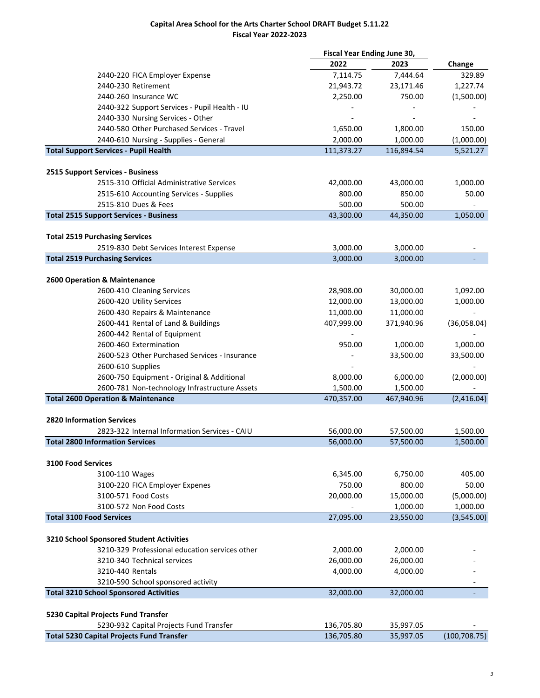|                                                                                                | Fiscal Year Ending June 30, |            |               |
|------------------------------------------------------------------------------------------------|-----------------------------|------------|---------------|
|                                                                                                | 2022                        | 2023       | Change        |
| 2440-220 FICA Employer Expense                                                                 | 7,114.75                    | 7,444.64   | 329.89        |
| 2440-230 Retirement                                                                            | 21,943.72                   | 23,171.46  | 1,227.74      |
| 2440-260 Insurance WC                                                                          | 2,250.00                    | 750.00     | (1,500.00)    |
| 2440-322 Support Services - Pupil Health - IU                                                  |                             |            |               |
| 2440-330 Nursing Services - Other                                                              |                             |            |               |
| 2440-580 Other Purchased Services - Travel                                                     | 1,650.00                    | 1,800.00   | 150.00        |
| 2440-610 Nursing - Supplies - General                                                          | 2,000.00                    | 1,000.00   | (1,000.00)    |
| <b>Total Support Services - Pupil Health</b>                                                   | 111,373.27                  | 116,894.54 | 5,521.27      |
|                                                                                                |                             |            |               |
| 2515 Support Services - Business                                                               |                             |            |               |
| 2515-310 Official Administrative Services                                                      | 42,000.00                   | 43,000.00  | 1,000.00      |
| 2515-610 Accounting Services - Supplies                                                        | 800.00                      | 850.00     | 50.00         |
| 2515-810 Dues & Fees                                                                           | 500.00                      | 500.00     |               |
| <b>Total 2515 Support Services - Business</b>                                                  | 43,300.00                   | 44,350.00  | 1,050.00      |
|                                                                                                |                             |            |               |
| <b>Total 2519 Purchasing Services</b>                                                          |                             |            |               |
| 2519-830 Debt Services Interest Expense                                                        | 3,000.00                    | 3,000.00   |               |
| <b>Total 2519 Purchasing Services</b>                                                          | 3,000.00                    | 3,000.00   |               |
| 2600 Operation & Maintenance                                                                   |                             |            |               |
| 2600-410 Cleaning Services                                                                     | 28,908.00                   | 30,000.00  | 1,092.00      |
| 2600-420 Utility Services                                                                      | 12,000.00                   | 13,000.00  | 1,000.00      |
| 2600-430 Repairs & Maintenance                                                                 | 11,000.00                   | 11,000.00  |               |
| 2600-441 Rental of Land & Buildings                                                            | 407,999.00                  | 371,940.96 | (36,058.04)   |
|                                                                                                |                             |            |               |
| 2600-442 Rental of Equipment<br>2600-460 Extermination                                         | 950.00                      |            |               |
| 2600-523 Other Purchased Services - Insurance                                                  |                             | 1,000.00   | 1,000.00      |
|                                                                                                |                             | 33,500.00  | 33,500.00     |
| 2600-610 Supplies                                                                              |                             |            |               |
| 2600-750 Equipment - Original & Additional                                                     | 8,000.00                    | 6,000.00   | (2,000.00)    |
| 2600-781 Non-technology Infrastructure Assets<br><b>Total 2600 Operation &amp; Maintenance</b> | 1,500.00                    | 1,500.00   |               |
|                                                                                                | 470,357.00                  | 467,940.96 | (2,416.04)    |
| 2820 Information Services                                                                      |                             |            |               |
| 2823-322 Internal Information Services - CAIU                                                  | 56,000.00                   | 57,500.00  | 1,500.00      |
| <b>Total 2800 Information Services</b>                                                         | 56,000.00                   | 57,500.00  | 1,500.00      |
|                                                                                                |                             |            |               |
| <b>3100 Food Services</b>                                                                      |                             |            |               |
| 3100-110 Wages                                                                                 | 6,345.00                    | 6,750.00   | 405.00        |
| 3100-220 FICA Employer Expenes                                                                 | 750.00                      | 800.00     | 50.00         |
| 3100-571 Food Costs                                                                            | 20,000.00                   | 15,000.00  | (5,000.00)    |
| 3100-572 Non Food Costs                                                                        |                             | 1,000.00   | 1,000.00      |
| <b>Total 3100 Food Services</b>                                                                | 27,095.00                   | 23,550.00  | (3,545.00)    |
|                                                                                                |                             |            |               |
| 3210 School Sponsored Student Activities                                                       |                             |            |               |
| 3210-329 Professional education services other                                                 | 2,000.00                    | 2,000.00   |               |
| 3210-340 Technical services                                                                    | 26,000.00                   | 26,000.00  |               |
| 3210-440 Rentals                                                                               | 4,000.00                    | 4,000.00   |               |
| 3210-590 School sponsored activity                                                             |                             |            |               |
| <b>Total 3210 School Sponsored Activities</b>                                                  | 32,000.00                   | 32,000.00  |               |
| 5230 Capital Projects Fund Transfer                                                            |                             |            |               |
| 5230-932 Capital Projects Fund Transfer                                                        | 136,705.80                  | 35,997.05  |               |
| <b>Total 5230 Capital Projects Fund Transfer</b>                                               | 136,705.80                  | 35,997.05  | (100, 708.75) |